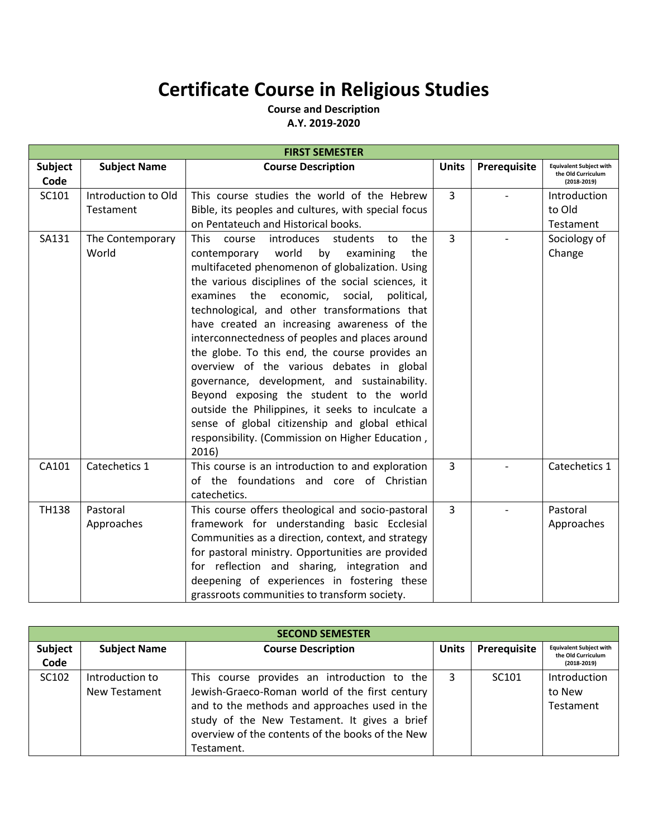## **Certificate Course in Religious Studies**

**Course and Description A.Y. 2019-2020**

| <b>FIRST SEMESTER</b> |                           |                                                                                                                                                                                                                                                                                                                                                                                                                                                                                                                                                                                                                                                                                                                                                                        |                |                          |                                                                         |  |  |
|-----------------------|---------------------------|------------------------------------------------------------------------------------------------------------------------------------------------------------------------------------------------------------------------------------------------------------------------------------------------------------------------------------------------------------------------------------------------------------------------------------------------------------------------------------------------------------------------------------------------------------------------------------------------------------------------------------------------------------------------------------------------------------------------------------------------------------------------|----------------|--------------------------|-------------------------------------------------------------------------|--|--|
| Subject<br>Code       | <b>Subject Name</b>       | <b>Course Description</b>                                                                                                                                                                                                                                                                                                                                                                                                                                                                                                                                                                                                                                                                                                                                              | <b>Units</b>   | Prerequisite             | <b>Equivalent Subject with</b><br>the Old Curriculum<br>$(2018 - 2019)$ |  |  |
| SC101                 | Introduction to Old       | This course studies the world of the Hebrew                                                                                                                                                                                                                                                                                                                                                                                                                                                                                                                                                                                                                                                                                                                            | $\overline{3}$ |                          | Introduction                                                            |  |  |
|                       | Testament                 | Bible, its peoples and cultures, with special focus                                                                                                                                                                                                                                                                                                                                                                                                                                                                                                                                                                                                                                                                                                                    |                |                          | to Old                                                                  |  |  |
|                       |                           | on Pentateuch and Historical books.                                                                                                                                                                                                                                                                                                                                                                                                                                                                                                                                                                                                                                                                                                                                    |                |                          | Testament                                                               |  |  |
| SA131                 | The Contemporary<br>World | introduces students<br>This<br>course<br>the<br>to<br>contemporary world<br>by examining<br>the<br>multifaceted phenomenon of globalization. Using<br>the various disciplines of the social sciences, it<br>examines the economic, social, political,<br>technological, and other transformations that<br>have created an increasing awareness of the<br>interconnectedness of peoples and places around<br>the globe. To this end, the course provides an<br>overview of the various debates in global<br>governance, development, and sustainability.<br>Beyond exposing the student to the world<br>outside the Philippines, it seeks to inculcate a<br>sense of global citizenship and global ethical<br>responsibility. (Commission on Higher Education,<br>2016) | 3              | $\overline{\phantom{a}}$ | Sociology of<br>Change                                                  |  |  |
| CA101                 | Catechetics 1             | This course is an introduction to and exploration<br>of the foundations and core of Christian<br>catechetics.                                                                                                                                                                                                                                                                                                                                                                                                                                                                                                                                                                                                                                                          | $\overline{3}$ |                          | Catechetics 1                                                           |  |  |
| <b>TH138</b>          | Pastoral<br>Approaches    | This course offers theological and socio-pastoral<br>framework for understanding basic Ecclesial<br>Communities as a direction, context, and strategy<br>for pastoral ministry. Opportunities are provided<br>for reflection and sharing, integration and<br>deepening of experiences in fostering these<br>grassroots communities to transform society.                                                                                                                                                                                                                                                                                                                                                                                                               | $\overline{3}$ |                          | Pastoral<br>Approaches                                                  |  |  |

| <b>SECOND SEMESTER</b> |                     |                                                  |              |                   |                                                      |  |  |  |
|------------------------|---------------------|--------------------------------------------------|--------------|-------------------|------------------------------------------------------|--|--|--|
| Subject<br>Code        | <b>Subject Name</b> | <b>Course Description</b>                        | <b>Units</b> | Prerequisite      | <b>Equivalent Subject with</b><br>the Old Curriculum |  |  |  |
|                        |                     |                                                  |              |                   | $(2018-2019)$                                        |  |  |  |
| SC102                  | Introduction to     | This course provides an introduction to the      | 3            | SC <sub>101</sub> | Introduction                                         |  |  |  |
|                        | New Testament       | Jewish-Graeco-Roman world of the first century   |              |                   | to New                                               |  |  |  |
|                        |                     | and to the methods and approaches used in the    |              |                   | Testament                                            |  |  |  |
|                        |                     | study of the New Testament. It gives a brief     |              |                   |                                                      |  |  |  |
|                        |                     | overview of the contents of the books of the New |              |                   |                                                      |  |  |  |
|                        |                     | Testament.                                       |              |                   |                                                      |  |  |  |